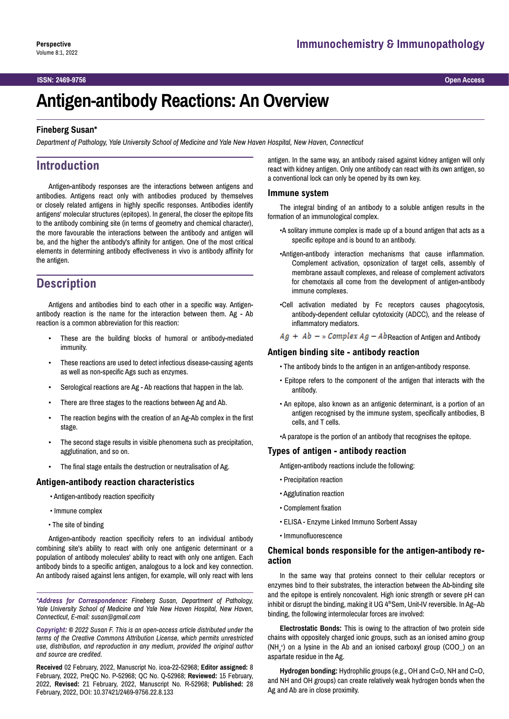#### **ISSN: 2469-9756 Open Access**

# **Antigen-antibody Reactions: An Overview**

### **Fineberg Susan\***

*Department of Pathology, Yale University School of Medicine and Yale New Haven Hospital, New Haven, Connecticut*

# **Introduction**

Antigen-antibody responses are the interactions between antigens and antibodies. Antigens react only with antibodies produced by themselves or closely related antigens in highly specific responses. Antibodies identify antigens' molecular structures (epitopes). In general, the closer the epitope fits to the antibody combining site (in terms of geometry and chemical character), the more favourable the interactions between the antibody and antigen will be, and the higher the antibody's affinity for antigen. One of the most critical elements in determining antibody effectiveness in vivo is antibody affinity for the antigen.

# **Description**

Antigens and antibodies bind to each other in a specific way. Antigenantibody reaction is the name for the interaction between them. Ag - Ab reaction is a common abbreviation for this reaction:

- These are the building blocks of humoral or antibody-mediated immunity.
- These reactions are used to detect infectious disease-causing agents as well as non-specific Ags such as enzymes.
- Serological reactions are Ag Ab reactions that happen in the lab.
- There are three stages to the reactions between Ag and Ab.
- The reaction begins with the creation of an Ag-Ab complex in the first stage.
- The second stage results in visible phenomena such as precipitation, agglutination, and so on.
- The final stage entails the destruction or neutralisation of Ag.

#### **Antigen-antibody reaction characteristics**

- Antigen-antibody reaction specificity
- Immune complex
- The site of binding

Antigen-antibody reaction specificity refers to an individual antibody combining site's ability to react with only one antigenic determinant or a population of antibody molecules' ability to react with only one antigen. Each antibody binds to a specific antigen, analogous to a lock and key connection. An antibody raised against lens antigen, for example, will only react with lens

*\*Address for Correspondence: Fineberg Susan, Department of Pathology, Yale University School of Medicine and Yale New Haven Hospital, New Haven, Connecticut, E-mail: susan@gmail.com*

*Copyright: © 2022 Susan F. This is an open-access article distributed under the terms of the Creative Commons Attribution License, which permits unrestricted use, distribution, and reproduction in any medium, provided the original author and source are credited.*

**Received** 02 February, 2022, Manuscript No. icoa-22-52968; **Editor assigned:** 8 February, 2022, PreQC No. P-52968; QC No. Q-52968; **Reviewed:** 15 February, 2022, **Revised:** 21 February, 2022, Manuscript No. R-52968; **Published:** 28 February, 2022, DOI: 10.37421/2469-9756.22.8.133

antigen. In the same way, an antibody raised against kidney antigen will only react with kidney antigen. Only one antibody can react with its own antigen, so a conventional lock can only be opened by its own key.

#### **Immune system**

The integral binding of an antibody to a soluble antigen results in the formation of an immunological complex.

- •A solitary immune complex is made up of a bound antigen that acts as a specific epitope and is bound to an antibody.
- •Antigen-antibody interaction mechanisms that cause inflammation. Complement activation, opsonization of target cells, assembly of membrane assault complexes, and release of complement activators for chemotaxis all come from the development of antigen-antibody immune complexes.
- •Cell activation mediated by Fc receptors causes phagocytosis, antibody-dependent cellular cytotoxicity (ADCC), and the release of inflammatory mediators.

 $Ag + Ab - w$  Complex  $Ag - Ab$ Reaction of Antigen and Antibody

## **Antigen binding site - antibody reaction**

- The antibody binds to the antigen in an antigen-antibody response.
- Epitope refers to the component of the antigen that interacts with the antibody.
- An epitope, also known as an antigenic determinant, is a portion of an antigen recognised by the immune system, specifically antibodies, B cells, and T cells.
- •A paratope is the portion of an antibody that recognises the epitope.

### **Types of antigen - antibody reaction**

Antigen-antibody reactions include the following:

- Precipitation reaction
- Agglutination reaction
- Complement fixation
- ELISA Enzyme Linked Immuno Sorbent Assay
- Immunofluorescence

#### **Chemical bonds responsible for the antigen-antibody reaction**

In the same way that proteins connect to their cellular receptors or enzymes bind to their substrates, the interaction between the Ab-binding site and the epitope is entirely noncovalent. High ionic strength or severe pH can inhibit or disrupt the binding, making it UG 4<sup>th</sup>Sem, Unit-IV reversible. In Ag-Ab binding, the following intermolecular forces are involved:

**Electrostatic Bonds:** This is owing to the attraction of two protein side chains with oppositely charged ionic groups, such as an ionised amino group  $(NH_4^*)$  on a lysine in the Ab and an ionised carboxyl group (COO\_) on an aspartate residue in the Ag.

**Hydrogen bonding:** Hydrophilic groups (e.g., OH and C=O, NH and C=O, and NH and OH groups) can create relatively weak hydrogen bonds when the Ag and Ab are in close proximity.